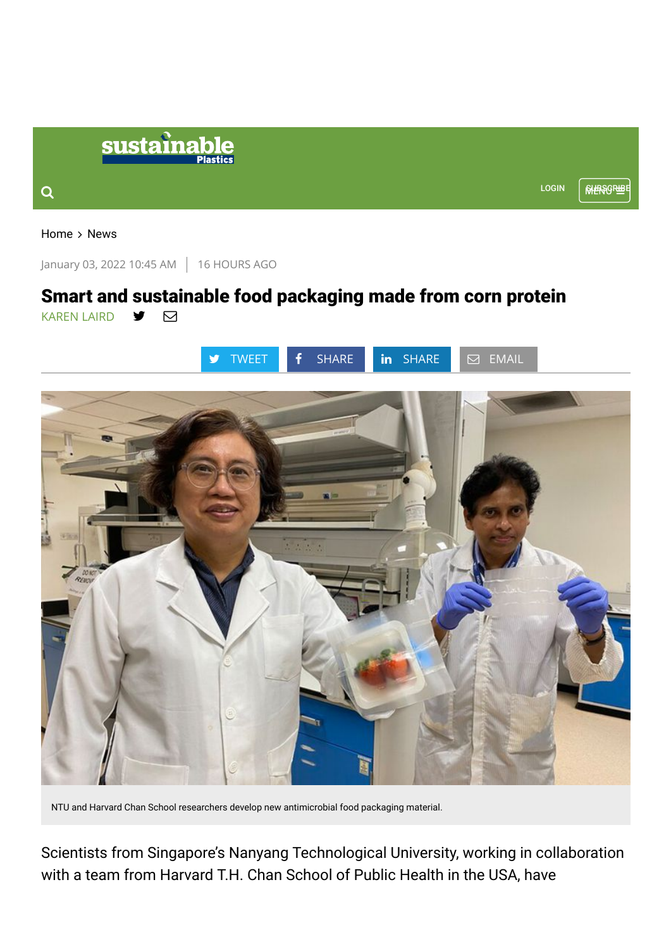|   | sustainable<br><b>Plastics</b> |              |  |
|---|--------------------------------|--------------|--|
| ◠ |                                | <b>LOGIN</b> |  |
|   |                                |              |  |

[Home](https://www.sustainableplastics.com/)  $>$  [News](https://www.sustainableplastics.com/news)

January 03, 2022 10:45 AM 16 HOURS AGO

## Smart and sustainable food packaging made from corn protein [KAREN LAIRD](https://www.sustainableplastics.com/staff/karen-laird) V M



NTU and Harvard Chan School researchers develop new antimicrobial food packaging material.

Scientists from Singapore's Nanyang Technological University, working in collaboration with a team from Harvard T.H. Chan School of Public Health in the USA, have